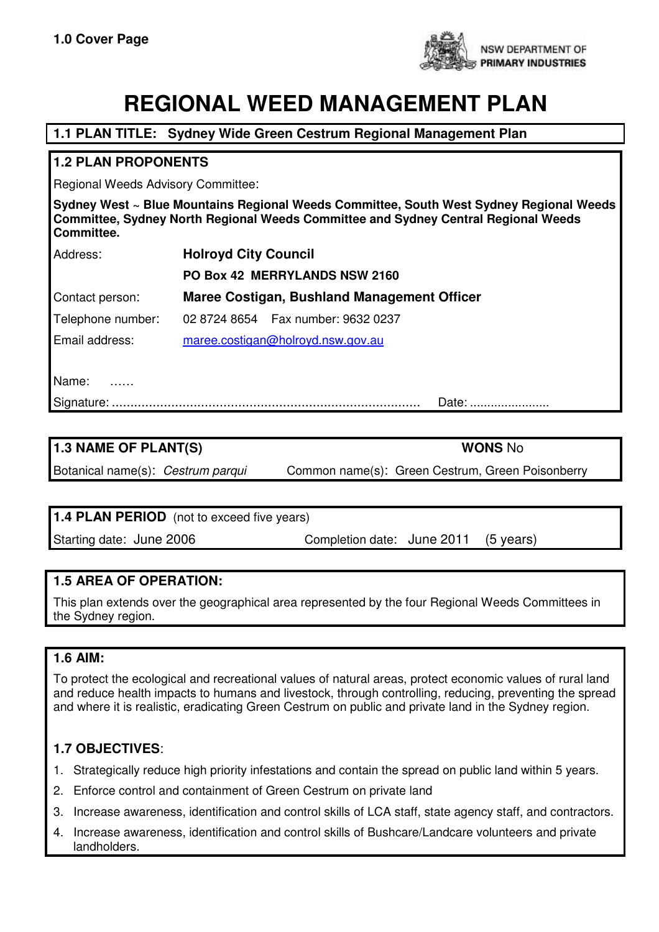

# **REGIONAL WEED MANAGEMENT PLAN**

# **1.1 PLAN TITLE: Sydney Wide Green Cestrum Regional Management Plan**

## **1.2 PLAN PROPONENTS**

Regional Weeds Advisory Committee:

**Sydney West ~ Blue Mountains Regional Weeds Committee, South West Sydney Regional Weeds Committee, Sydney North Regional Weeds Committee and Sydney Central Regional Weeds Committee.**

| Address:          | <b>Holroyd City Council</b>                 |  |  |
|-------------------|---------------------------------------------|--|--|
|                   | PO Box 42 MERRYLANDS NSW 2160               |  |  |
| Contact person:   | Maree Costigan, Bushland Management Officer |  |  |
| Telephone number: | 02 8724 8654  Fax number: 9632 0237         |  |  |
| Email address:    | maree.costigan@holroyd.nsw.gov.au           |  |  |
|                   |                                             |  |  |

Name: ……

Signature: ................................................................................... Date: .......................

**1.3 NAME OF PLANT(S) WONS** No Botanical name(s): Cestrum parqui Common name(s): Green Cestrum, Green Poisonberry

# **1.4 PLAN PERIOD** (not to exceed five years)

Starting date: June 2006 Completion date: June 2011 (5 years)

### **1.5 AREA OF OPERATION:**

This plan extends over the geographical area represented by the four Regional Weeds Committees in the Sydney region.

### **1.6 AIM:**

To protect the ecological and recreational values of natural areas, protect economic values of rural land and reduce health impacts to humans and livestock, through controlling, reducing, preventing the spread and where it is realistic, eradicating Green Cestrum on public and private land in the Sydney region.

# **1.7 OBJECTIVES**:

- 1. Strategically reduce high priority infestations and contain the spread on public land within 5 years.
- 2. Enforce control and containment of Green Cestrum on private land
- 3. Increase awareness, identification and control skills of LCA staff, state agency staff, and contractors.
- 4. Increase awareness, identification and control skills of Bushcare/Landcare volunteers and private landholders.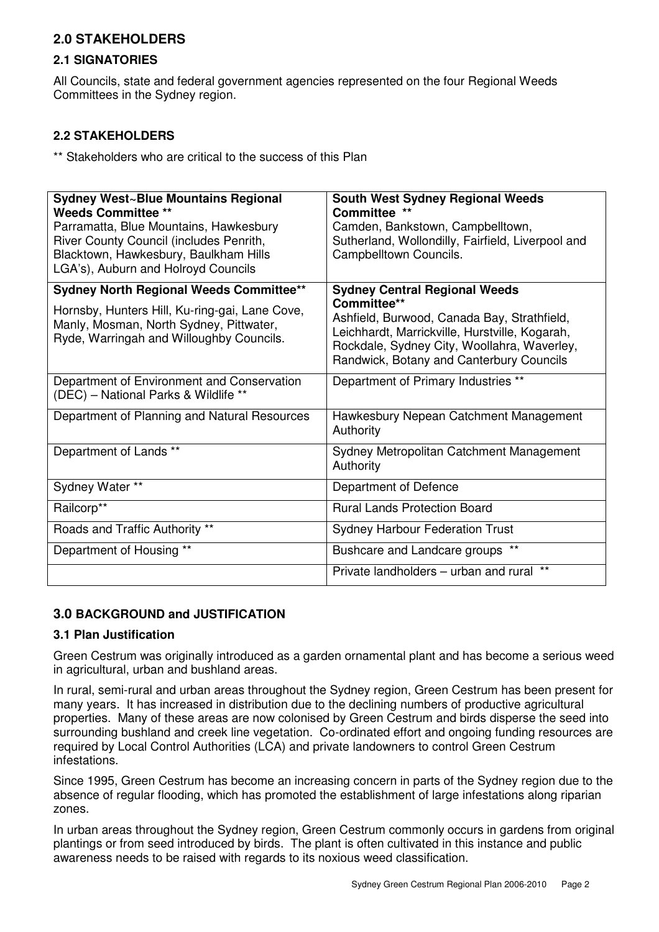# **2.0 STAKEHOLDERS**

#### **2.1 SIGNATORIES**

All Councils, state and federal government agencies represented on the four Regional Weeds Committees in the Sydney region.

#### **2.2 STAKEHOLDERS**

\*\* Stakeholders who are critical to the success of this Plan

| Sydney West~Blue Mountains Regional<br><b>Weeds Committee **</b><br>Parramatta, Blue Mountains, Hawkesbury<br>River County Council (includes Penrith,<br>Blacktown, Hawkesbury, Baulkham Hills<br>LGA's), Auburn and Holroyd Councils | <b>South West Sydney Regional Weeds</b><br>Committee **<br>Camden, Bankstown, Campbelltown,<br>Sutherland, Wollondilly, Fairfield, Liverpool and<br>Campbelltown Councils.                              |
|---------------------------------------------------------------------------------------------------------------------------------------------------------------------------------------------------------------------------------------|---------------------------------------------------------------------------------------------------------------------------------------------------------------------------------------------------------|
| <b>Sydney North Regional Weeds Committee**</b>                                                                                                                                                                                        | <b>Sydney Central Regional Weeds</b>                                                                                                                                                                    |
| Hornsby, Hunters Hill, Ku-ring-gai, Lane Cove,<br>Manly, Mosman, North Sydney, Pittwater,<br>Ryde, Warringah and Willoughby Councils.                                                                                                 | Committee**<br>Ashfield, Burwood, Canada Bay, Strathfield,<br>Leichhardt, Marrickville, Hurstville, Kogarah,<br>Rockdale, Sydney City, Woollahra, Waverley,<br>Randwick, Botany and Canterbury Councils |
| Department of Environment and Conservation<br>(DEC) - National Parks & Wildlife **                                                                                                                                                    | Department of Primary Industries **                                                                                                                                                                     |
| Department of Planning and Natural Resources                                                                                                                                                                                          | Hawkesbury Nepean Catchment Management<br>Authority                                                                                                                                                     |
| Department of Lands **                                                                                                                                                                                                                | Sydney Metropolitan Catchment Management<br>Authority                                                                                                                                                   |
| Sydney Water **                                                                                                                                                                                                                       | Department of Defence                                                                                                                                                                                   |
| Railcorp**                                                                                                                                                                                                                            | <b>Rural Lands Protection Board</b>                                                                                                                                                                     |
| Roads and Traffic Authority **                                                                                                                                                                                                        | <b>Sydney Harbour Federation Trust</b>                                                                                                                                                                  |
| Department of Housing **                                                                                                                                                                                                              | Bushcare and Landcare groups **                                                                                                                                                                         |
|                                                                                                                                                                                                                                       | $***$<br>Private landholders - urban and rural                                                                                                                                                          |

### **3.0 BACKGROUND and JUSTIFICATION**

#### **3.1 Plan Justification**

Green Cestrum was originally introduced as a garden ornamental plant and has become a serious weed in agricultural, urban and bushland areas.

In rural, semi-rural and urban areas throughout the Sydney region, Green Cestrum has been present for many years. It has increased in distribution due to the declining numbers of productive agricultural properties. Many of these areas are now colonised by Green Cestrum and birds disperse the seed into surrounding bushland and creek line vegetation. Co-ordinated effort and ongoing funding resources are required by Local Control Authorities (LCA) and private landowners to control Green Cestrum infestations.

Since 1995, Green Cestrum has become an increasing concern in parts of the Sydney region due to the absence of regular flooding, which has promoted the establishment of large infestations along riparian zones.

In urban areas throughout the Sydney region, Green Cestrum commonly occurs in gardens from original plantings or from seed introduced by birds. The plant is often cultivated in this instance and public awareness needs to be raised with regards to its noxious weed classification.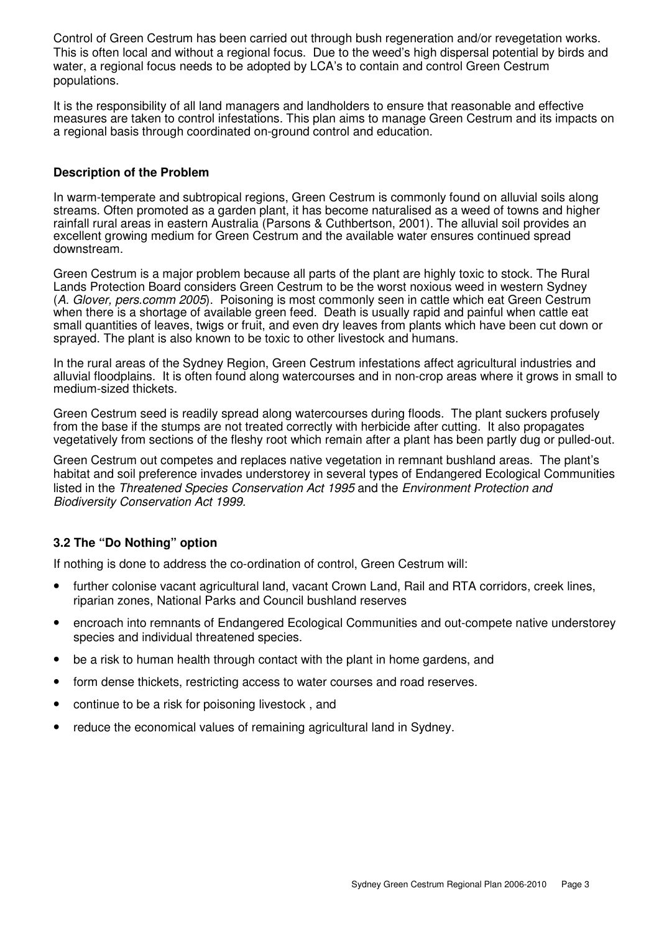Control of Green Cestrum has been carried out through bush regeneration and/or revegetation works. This is often local and without a regional focus. Due to the weed's high dispersal potential by birds and water, a regional focus needs to be adopted by LCA's to contain and control Green Cestrum populations.

It is the responsibility of all land managers and landholders to ensure that reasonable and effective measures are taken to control infestations. This plan aims to manage Green Cestrum and its impacts on a regional basis through coordinated on-ground control and education.

#### **Description of the Problem**

In warm-temperate and subtropical regions, Green Cestrum is commonly found on alluvial soils along streams. Often promoted as a garden plant, it has become naturalised as a weed of towns and higher rainfall rural areas in eastern Australia (Parsons & Cuthbertson, 2001). The alluvial soil provides an excellent growing medium for Green Cestrum and the available water ensures continued spread downstream.

Green Cestrum is a major problem because all parts of the plant are highly toxic to stock. The Rural Lands Protection Board considers Green Cestrum to be the worst noxious weed in western Sydney (A. Glover, pers.comm 2005). Poisoning is most commonly seen in cattle which eat Green Cestrum when there is a shortage of available green feed. Death is usually rapid and painful when cattle eat small quantities of leaves, twigs or fruit, and even dry leaves from plants which have been cut down or sprayed. The plant is also known to be toxic to other livestock and humans.

In the rural areas of the Sydney Region, Green Cestrum infestations affect agricultural industries and alluvial floodplains. It is often found along watercourses and in non-crop areas where it grows in small to medium-sized thickets.

Green Cestrum seed is readily spread along watercourses during floods. The plant suckers profusely from the base if the stumps are not treated correctly with herbicide after cutting. It also propagates vegetatively from sections of the fleshy root which remain after a plant has been partly dug or pulled-out.

Green Cestrum out competes and replaces native vegetation in remnant bushland areas. The plant's habitat and soil preference invades understorey in several types of Endangered Ecological Communities listed in the Threatened Species Conservation Act 1995 and the Environment Protection and Biodiversity Conservation Act 1999.

#### **3.2 The "Do Nothing" option**

If nothing is done to address the co-ordination of control, Green Cestrum will:

- further colonise vacant agricultural land, vacant Crown Land, Rail and RTA corridors, creek lines, riparian zones, National Parks and Council bushland reserves
- encroach into remnants of Endangered Ecological Communities and out-compete native understorey species and individual threatened species.
- be a risk to human health through contact with the plant in home gardens, and
- form dense thickets, restricting access to water courses and road reserves.
- continue to be a risk for poisoning livestock , and
- reduce the economical values of remaining agricultural land in Sydney.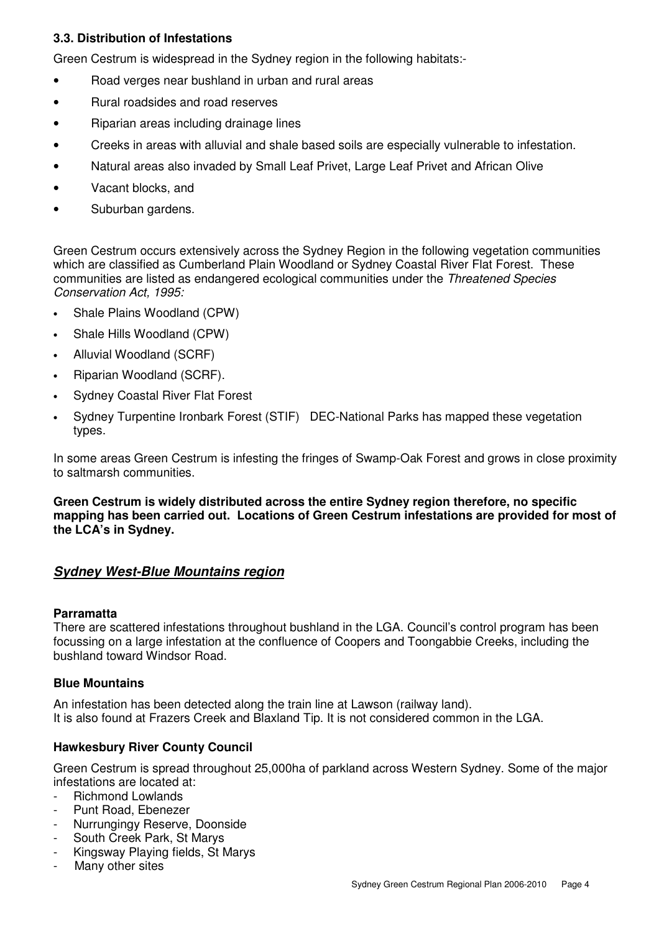### **3.3. Distribution of Infestations**

Green Cestrum is widespread in the Sydney region in the following habitats:-

- Road verges near bushland in urban and rural areas
- Rural roadsides and road reserves
- Riparian areas including drainage lines
- Creeks in areas with alluvial and shale based soils are especially vulnerable to infestation.
- Natural areas also invaded by Small Leaf Privet, Large Leaf Privet and African Olive
- Vacant blocks, and
- Suburban gardens.

Green Cestrum occurs extensively across the Sydney Region in the following vegetation communities which are classified as Cumberland Plain Woodland or Sydney Coastal River Flat Forest. These communities are listed as endangered ecological communities under the Threatened Species Conservation Act, 1995:

- Shale Plains Woodland (CPW)
- Shale Hills Woodland (CPW)
- Alluvial Woodland (SCRF)
- Riparian Woodland (SCRF).
- Sydney Coastal River Flat Forest
- Sydney Turpentine Ironbark Forest (STIF) DEC-National Parks has mapped these vegetation types.

In some areas Green Cestrum is infesting the fringes of Swamp-Oak Forest and grows in close proximity to saltmarsh communities.

**Green Cestrum is widely distributed across the entire Sydney region therefore, no specific mapping has been carried out. Locations of Green Cestrum infestations are provided for most of the LCA's in Sydney.** 

### **Sydney West-Blue Mountains region**

#### **Parramatta**

There are scattered infestations throughout bushland in the LGA. Council's control program has been focussing on a large infestation at the confluence of Coopers and Toongabbie Creeks, including the bushland toward Windsor Road.

#### **Blue Mountains**

An infestation has been detected along the train line at Lawson (railway land). It is also found at Frazers Creek and Blaxland Tip. It is not considered common in the LGA.

#### **Hawkesbury River County Council**

Green Cestrum is spread throughout 25,000ha of parkland across Western Sydney. Some of the major infestations are located at:

- Richmond Lowlands
- Punt Road, Ebenezer
- Nurrungingy Reserve, Doonside
- South Creek Park, St Marys
- Kingsway Playing fields, St Marys
- Many other sites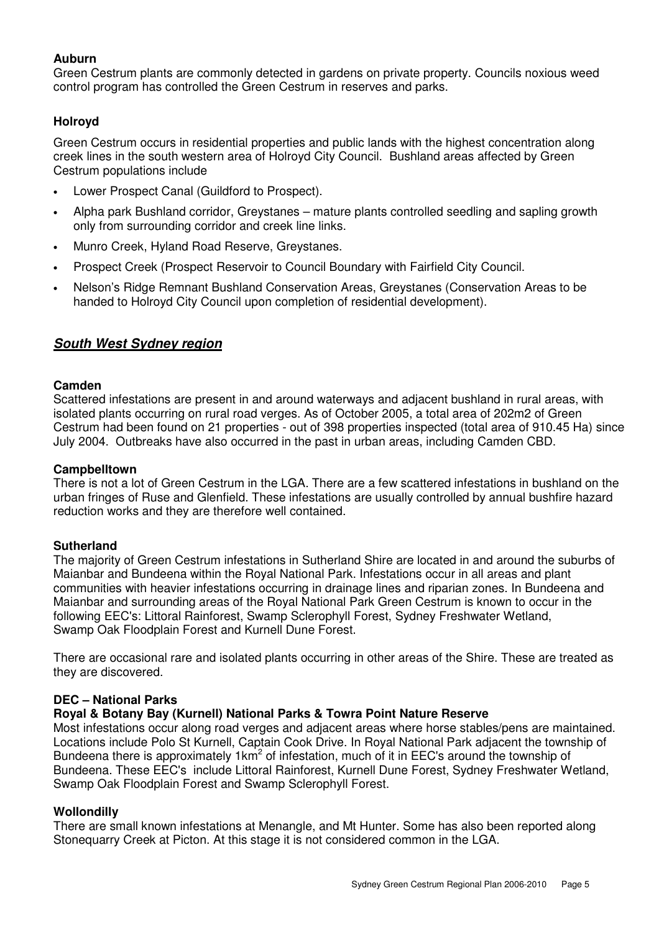## **Auburn**

Green Cestrum plants are commonly detected in gardens on private property. Councils noxious weed control program has controlled the Green Cestrum in reserves and parks.

# **Holroyd**

Green Cestrum occurs in residential properties and public lands with the highest concentration along creek lines in the south western area of Holroyd City Council. Bushland areas affected by Green Cestrum populations include

- Lower Prospect Canal (Guildford to Prospect).
- Alpha park Bushland corridor, Greystanes mature plants controlled seedling and sapling growth only from surrounding corridor and creek line links.
- Munro Creek, Hyland Road Reserve, Greystanes.
- Prospect Creek (Prospect Reservoir to Council Boundary with Fairfield City Council.
- Nelson's Ridge Remnant Bushland Conservation Areas, Greystanes (Conservation Areas to be handed to Holroyd City Council upon completion of residential development).

# **South West Sydney region**

#### **Camden**

Scattered infestations are present in and around waterways and adjacent bushland in rural areas, with isolated plants occurring on rural road verges. As of October 2005, a total area of 202m2 of Green Cestrum had been found on 21 properties - out of 398 properties inspected (total area of 910.45 Ha) since July 2004. Outbreaks have also occurred in the past in urban areas, including Camden CBD.

#### **Campbelltown**

There is not a lot of Green Cestrum in the LGA. There are a few scattered infestations in bushland on the urban fringes of Ruse and Glenfield. These infestations are usually controlled by annual bushfire hazard reduction works and they are therefore well contained.

#### **Sutherland**

The majority of Green Cestrum infestations in Sutherland Shire are located in and around the suburbs of Maianbar and Bundeena within the Royal National Park. Infestations occur in all areas and plant communities with heavier infestations occurring in drainage lines and riparian zones. In Bundeena and Maianbar and surrounding areas of the Royal National Park Green Cestrum is known to occur in the following EEC's: Littoral Rainforest, Swamp Sclerophyll Forest, Sydney Freshwater Wetland, Swamp Oak Floodplain Forest and Kurnell Dune Forest.

There are occasional rare and isolated plants occurring in other areas of the Shire. These are treated as they are discovered.

### **DEC – National Parks**

#### **Royal & Botany Bay (Kurnell) National Parks & Towra Point Nature Reserve**

Most infestations occur along road verges and adjacent areas where horse stables/pens are maintained. Locations include Polo St Kurnell, Captain Cook Drive. In Royal National Park adjacent the township of Bundeena there is approximately 1km<sup>2</sup> of infestation, much of it in EEC's around the township of Bundeena. These EEC's include Littoral Rainforest, Kurnell Dune Forest, Sydney Freshwater Wetland, Swamp Oak Floodplain Forest and Swamp Sclerophyll Forest.

#### **Wollondilly**

There are small known infestations at Menangle, and Mt Hunter. Some has also been reported along Stonequarry Creek at Picton. At this stage it is not considered common in the LGA.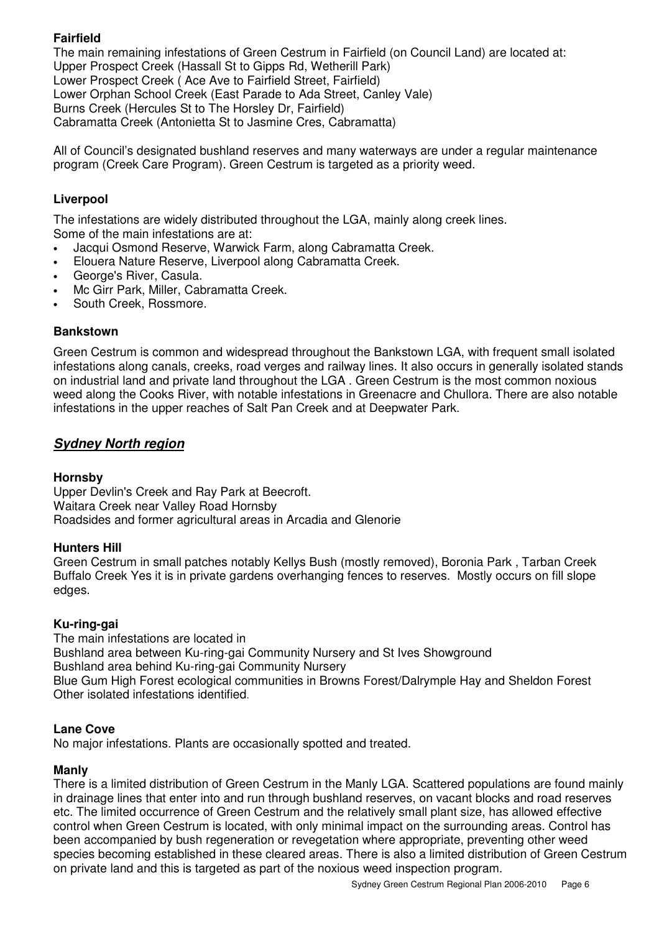# **Fairfield**

The main remaining infestations of Green Cestrum in Fairfield (on Council Land) are located at: Upper Prospect Creek (Hassall St to Gipps Rd, Wetherill Park) Lower Prospect Creek ( Ace Ave to Fairfield Street, Fairfield) Lower Orphan School Creek (East Parade to Ada Street, Canley Vale) Burns Creek (Hercules St to The Horsley Dr, Fairfield) Cabramatta Creek (Antonietta St to Jasmine Cres, Cabramatta)

All of Council's designated bushland reserves and many waterways are under a regular maintenance program (Creek Care Program). Green Cestrum is targeted as a priority weed.

#### **Liverpool**

The infestations are widely distributed throughout the LGA, mainly along creek lines. Some of the main infestations are at:

- Jacqui Osmond Reserve, Warwick Farm, along Cabramatta Creek.
- Elouera Nature Reserve, Liverpool along Cabramatta Creek.
- George's River, Casula.
- Mc Girr Park, Miller, Cabramatta Creek.
- South Creek, Rossmore.

#### **Bankstown**

Green Cestrum is common and widespread throughout the Bankstown LGA, with frequent small isolated infestations along canals, creeks, road verges and railway lines. It also occurs in generally isolated stands on industrial land and private land throughout the LGA . Green Cestrum is the most common noxious weed along the Cooks River, with notable infestations in Greenacre and Chullora. There are also notable infestations in the upper reaches of Salt Pan Creek and at Deepwater Park.

### **Sydney North region**

#### **Hornsby**

Upper Devlin's Creek and Ray Park at Beecroft. Waitara Creek near Valley Road Hornsby Roadsides and former agricultural areas in Arcadia and Glenorie

#### **Hunters Hill**

Green Cestrum in small patches notably Kellys Bush (mostly removed), Boronia Park , Tarban Creek Buffalo Creek Yes it is in private gardens overhanging fences to reserves. Mostly occurs on fill slope edges.

#### **Ku-ring-gai**

The main infestations are located in Bushland area between Ku-ring-gai Community Nursery and St Ives Showground Bushland area behind Ku-ring-gai Community Nursery Blue Gum High Forest ecological communities in Browns Forest/Dalrymple Hay and Sheldon Forest Other isolated infestations identified.

#### **Lane Cove**

No major infestations. Plants are occasionally spotted and treated.

#### **Manly**

There is a limited distribution of Green Cestrum in the Manly LGA. Scattered populations are found mainly in drainage lines that enter into and run through bushland reserves, on vacant blocks and road reserves etc. The limited occurrence of Green Cestrum and the relatively small plant size, has allowed effective control when Green Cestrum is located, with only minimal impact on the surrounding areas. Control has been accompanied by bush regeneration or revegetation where appropriate, preventing other weed species becoming established in these cleared areas. There is also a limited distribution of Green Cestrum on private land and this is targeted as part of the noxious weed inspection program.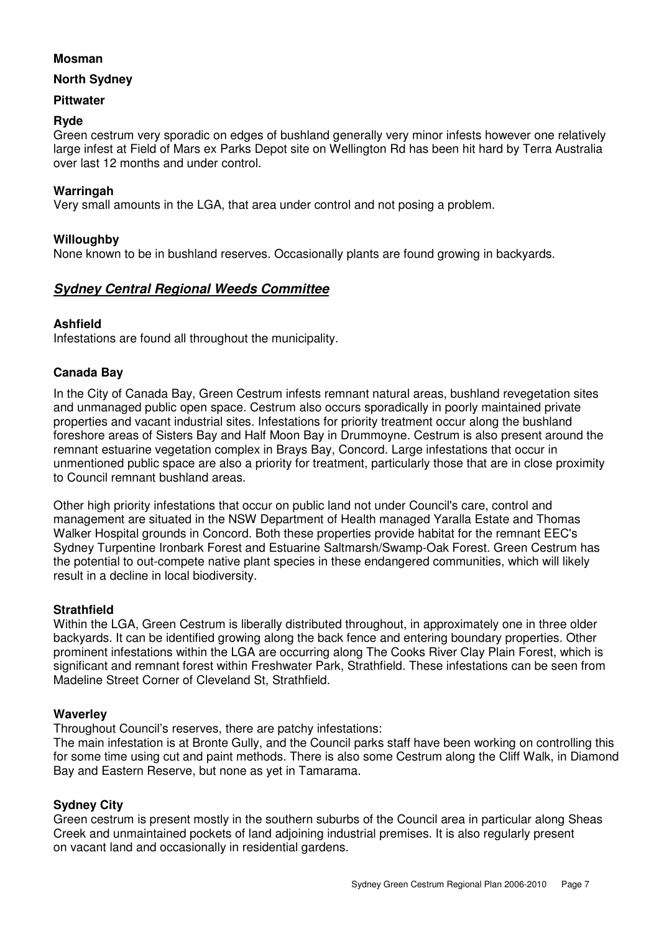#### **Mosman**

#### **North Sydney**

#### **Pittwater**

#### **Ryde**

Green cestrum very sporadic on edges of bushland generally very minor infests however one relatively large infest at Field of Mars ex Parks Depot site on Wellington Rd has been hit hard by Terra Australia over last 12 months and under control.

#### **Warringah**

Very small amounts in the LGA, that area under control and not posing a problem.

#### **Willoughby**

None known to be in bushland reserves. Occasionally plants are found growing in backyards.

# **Sydney Central Regional Weeds Committee**

#### **Ashfield**

Infestations are found all throughout the municipality.

#### **Canada Bay**

In the City of Canada Bay, Green Cestrum infests remnant natural areas, bushland revegetation sites and unmanaged public open space. Cestrum also occurs sporadically in poorly maintained private properties and vacant industrial sites. Infestations for priority treatment occur along the bushland foreshore areas of Sisters Bay and Half Moon Bay in Drummoyne. Cestrum is also present around the remnant estuarine vegetation complex in Brays Bay, Concord. Large infestations that occur in unmentioned public space are also a priority for treatment, particularly those that are in close proximity to Council remnant bushland areas.

Other high priority infestations that occur on public land not under Council's care, control and management are situated in the NSW Department of Health managed Yaralla Estate and Thomas Walker Hospital grounds in Concord. Both these properties provide habitat for the remnant EEC's Sydney Turpentine Ironbark Forest and Estuarine Saltmarsh/Swamp-Oak Forest. Green Cestrum has the potential to out-compete native plant species in these endangered communities, which will likely result in a decline in local biodiversity.

#### **Strathfield**

Within the LGA, Green Cestrum is liberally distributed throughout, in approximately one in three older backyards. It can be identified growing along the back fence and entering boundary properties. Other prominent infestations within the LGA are occurring along The Cooks River Clay Plain Forest, which is significant and remnant forest within Freshwater Park, Strathfield. These infestations can be seen from Madeline Street Corner of Cleveland St, Strathfield.

#### **Waverley**

Throughout Council's reserves, there are patchy infestations:

The main infestation is at Bronte Gully, and the Council parks staff have been working on controlling this for some time using cut and paint methods. There is also some Cestrum along the Cliff Walk, in Diamond Bay and Eastern Reserve, but none as yet in Tamarama.

#### **Sydney City**

Green cestrum is present mostly in the southern suburbs of the Council area in particular along Sheas Creek and unmaintained pockets of land adjoining industrial premises. It is also regularly present on vacant land and occasionally in residential gardens.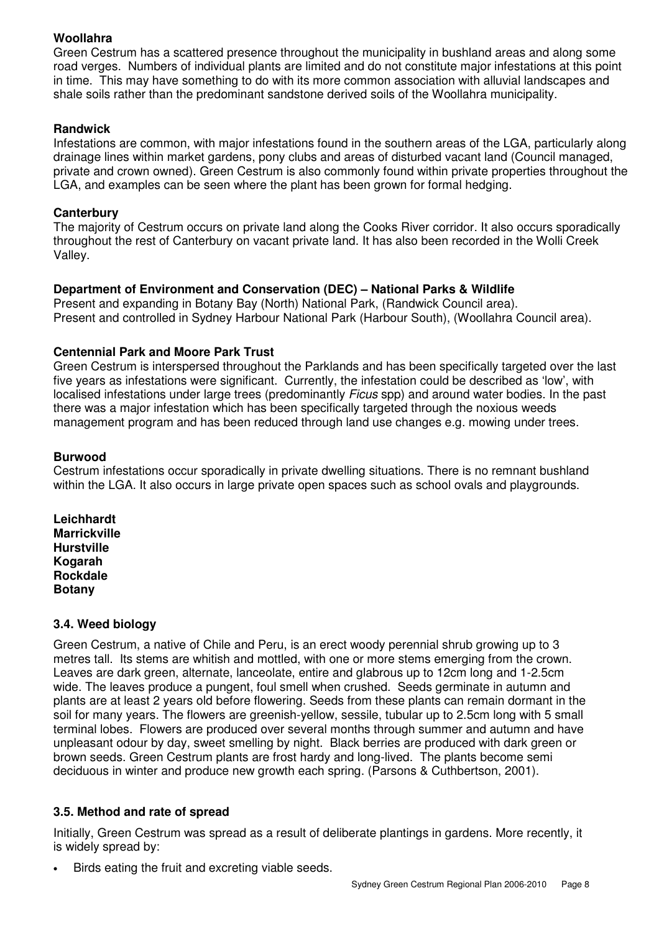# **Woollahra**

Green Cestrum has a scattered presence throughout the municipality in bushland areas and along some road verges. Numbers of individual plants are limited and do not constitute major infestations at this point in time. This may have something to do with its more common association with alluvial landscapes and shale soils rather than the predominant sandstone derived soils of the Woollahra municipality.

#### **Randwick**

Infestations are common, with major infestations found in the southern areas of the LGA, particularly along drainage lines within market gardens, pony clubs and areas of disturbed vacant land (Council managed, private and crown owned). Green Cestrum is also commonly found within private properties throughout the LGA, and examples can be seen where the plant has been grown for formal hedging.

#### **Canterbury**

The majority of Cestrum occurs on private land along the Cooks River corridor. It also occurs sporadically throughout the rest of Canterbury on vacant private land. It has also been recorded in the Wolli Creek Valley.

### **Department of Environment and Conservation (DEC) – National Parks & Wildlife**

Present and expanding in Botany Bay (North) National Park, (Randwick Council area). Present and controlled in Sydney Harbour National Park (Harbour South), (Woollahra Council area).

#### **Centennial Park and Moore Park Trust**

Green Cestrum is interspersed throughout the Parklands and has been specifically targeted over the last five years as infestations were significant. Currently, the infestation could be described as 'low', with localised infestations under large trees (predominantly *Ficus* spp) and around water bodies. In the past there was a major infestation which has been specifically targeted through the noxious weeds management program and has been reduced through land use changes e.g. mowing under trees.

#### **Burwood**

Cestrum infestations occur sporadically in private dwelling situations. There is no remnant bushland within the LGA. It also occurs in large private open spaces such as school ovals and playgrounds.

**Leichhardt Marrickville Hurstville Kogarah Rockdale Botany** 

#### **3.4. Weed biology**

Green Cestrum, a native of Chile and Peru, is an erect woody perennial shrub growing up to 3 metres tall. Its stems are whitish and mottled, with one or more stems emerging from the crown. Leaves are dark green, alternate, lanceolate, entire and glabrous up to 12cm long and 1-2.5cm wide. The leaves produce a pungent, foul smell when crushed. Seeds germinate in autumn and plants are at least 2 years old before flowering. Seeds from these plants can remain dormant in the soil for many years. The flowers are greenish-yellow, sessile, tubular up to 2.5cm long with 5 small terminal lobes. Flowers are produced over several months through summer and autumn and have unpleasant odour by day, sweet smelling by night. Black berries are produced with dark green or brown seeds. Green Cestrum plants are frost hardy and long-lived. The plants become semi deciduous in winter and produce new growth each spring. (Parsons & Cuthbertson, 2001).

#### **3.5. Method and rate of spread**

Initially, Green Cestrum was spread as a result of deliberate plantings in gardens. More recently, it is widely spread by:

Birds eating the fruit and excreting viable seeds.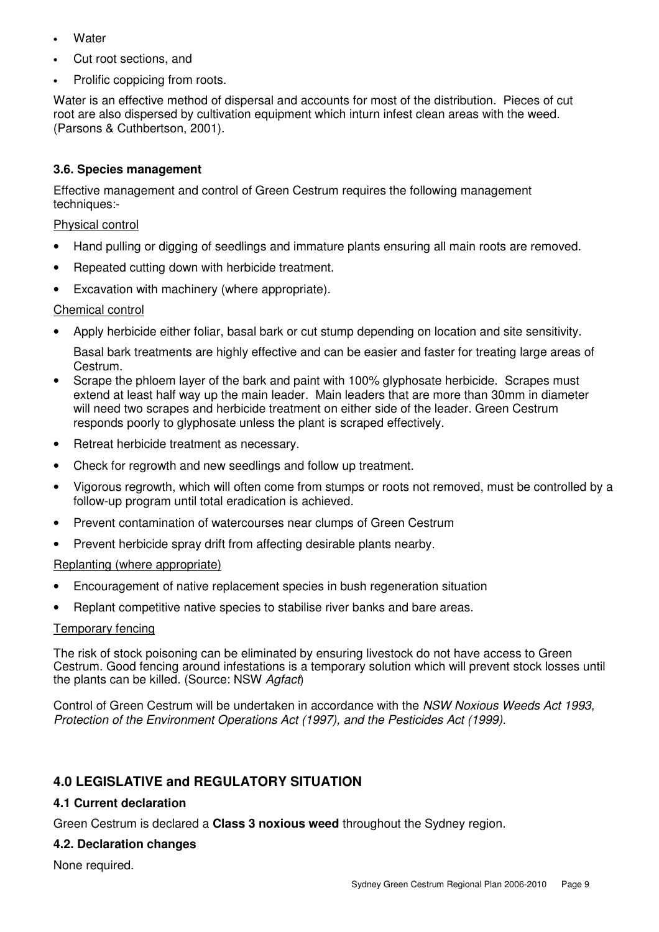- **Water**
- Cut root sections, and
- Prolific coppicing from roots.

Water is an effective method of dispersal and accounts for most of the distribution. Pieces of cut root are also dispersed by cultivation equipment which inturn infest clean areas with the weed. (Parsons & Cuthbertson, 2001).

# **3.6. Species management**

Effective management and control of Green Cestrum requires the following management techniques:-

## Physical control

- Hand pulling or digging of seedlings and immature plants ensuring all main roots are removed.
- Repeated cutting down with herbicide treatment.
- Excavation with machinery (where appropriate).

### Chemical control

• Apply herbicide either foliar, basal bark or cut stump depending on location and site sensitivity.

Basal bark treatments are highly effective and can be easier and faster for treating large areas of Cestrum.

- Scrape the phloem layer of the bark and paint with 100% glyphosate herbicide. Scrapes must extend at least half way up the main leader. Main leaders that are more than 30mm in diameter will need two scrapes and herbicide treatment on either side of the leader. Green Cestrum responds poorly to glyphosate unless the plant is scraped effectively.
- Retreat herbicide treatment as necessary.
- Check for regrowth and new seedlings and follow up treatment.
- Vigorous regrowth, which will often come from stumps or roots not removed, must be controlled by a follow-up program until total eradication is achieved.
- Prevent contamination of watercourses near clumps of Green Cestrum
- Prevent herbicide spray drift from affecting desirable plants nearby.

### Replanting (where appropriate)

- Encouragement of native replacement species in bush regeneration situation
- Replant competitive native species to stabilise river banks and bare areas.

#### Temporary fencing

The risk of stock poisoning can be eliminated by ensuring livestock do not have access to Green Cestrum. Good fencing around infestations is a temporary solution which will prevent stock losses until the plants can be killed. (Source: NSW Agfact)

Control of Green Cestrum will be undertaken in accordance with the NSW Noxious Weeds Act 1993, Protection of the Environment Operations Act (1997), and the Pesticides Act (1999).

# **4.0 LEGISLATIVE and REGULATORY SITUATION**

### **4.1 Current declaration**

Green Cestrum is declared a **Class 3 noxious weed** throughout the Sydney region.

### **4.2. Declaration changes**

None required.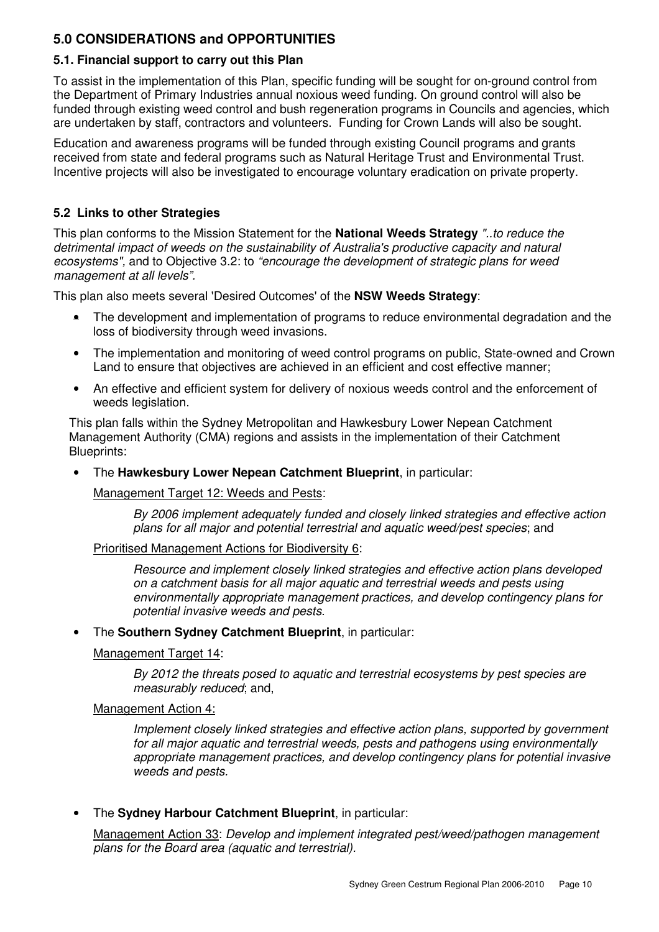# **5.0 CONSIDERATIONS and OPPORTUNITIES**

#### **5.1. Financial support to carry out this Plan**

To assist in the implementation of this Plan, specific funding will be sought for on-ground control from the Department of Primary Industries annual noxious weed funding. On ground control will also be funded through existing weed control and bush regeneration programs in Councils and agencies, which are undertaken by staff, contractors and volunteers. Funding for Crown Lands will also be sought.

Education and awareness programs will be funded through existing Council programs and grants received from state and federal programs such as Natural Heritage Trust and Environmental Trust. Incentive projects will also be investigated to encourage voluntary eradication on private property.

#### **5.2 Links to other Strategies**

This plan conforms to the Mission Statement for the **National Weeds Strategy** "..to reduce the detrimental impact of weeds on the sustainability of Australia's productive capacity and natural ecosystems", and to Objective 3.2: to "encourage the development of strategic plans for weed management at all levels".

This plan also meets several 'Desired Outcomes' of the **NSW Weeds Strategy**:

- The development and implementation of programs to reduce environmental degradation and the loss of biodiversity through weed invasions.
- The implementation and monitoring of weed control programs on public, State-owned and Crown Land to ensure that objectives are achieved in an efficient and cost effective manner;
- An effective and efficient system for delivery of noxious weeds control and the enforcement of weeds legislation.

This plan falls within the Sydney Metropolitan and Hawkesbury Lower Nepean Catchment Management Authority (CMA) regions and assists in the implementation of their Catchment Blueprints:

• The **Hawkesbury Lower Nepean Catchment Blueprint**, in particular:

Management Target 12: Weeds and Pests:

By 2006 implement adequately funded and closely linked strategies and effective action plans for all major and potential terrestrial and aquatic weed/pest species; and

Prioritised Management Actions for Biodiversity 6:

Resource and implement closely linked strategies and effective action plans developed on a catchment basis for all major aquatic and terrestrial weeds and pests using environmentally appropriate management practices, and develop contingency plans for potential invasive weeds and pests.

• The **Southern Sydney Catchment Blueprint**, in particular:

#### Management Target 14:

By 2012 the threats posed to aquatic and terrestrial ecosystems by pest species are measurably reduced; and,

#### Management Action 4:

Implement closely linked strategies and effective action plans, supported by government for all major aquatic and terrestrial weeds, pests and pathogens using environmentally appropriate management practices, and develop contingency plans for potential invasive weeds and pests.

• The **Sydney Harbour Catchment Blueprint**, in particular:

Management Action 33: Develop and implement integrated pest/weed/pathogen management plans for the Board area (aquatic and terrestrial).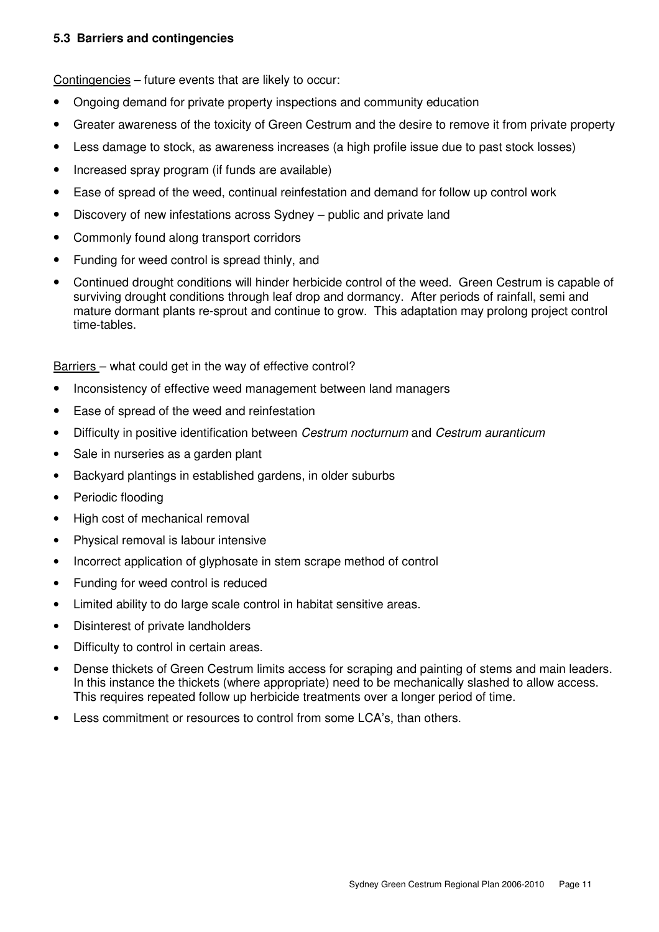#### **5.3 Barriers and contingencies**

Contingencies – future events that are likely to occur:

- Ongoing demand for private property inspections and community education
- Greater awareness of the toxicity of Green Cestrum and the desire to remove it from private property
- Less damage to stock, as awareness increases (a high profile issue due to past stock losses)
- Increased spray program (if funds are available)
- Ease of spread of the weed, continual reinfestation and demand for follow up control work
- Discovery of new infestations across Sydney public and private land
- Commonly found along transport corridors
- Funding for weed control is spread thinly, and
- Continued drought conditions will hinder herbicide control of the weed. Green Cestrum is capable of surviving drought conditions through leaf drop and dormancy. After periods of rainfall, semi and mature dormant plants re-sprout and continue to grow. This adaptation may prolong project control time-tables.

Barriers – what could get in the way of effective control?

- Inconsistency of effective weed management between land managers
- Ease of spread of the weed and reinfestation
- Difficulty in positive identification between Cestrum nocturnum and Cestrum auranticum
- Sale in nurseries as a garden plant
- Backyard plantings in established gardens, in older suburbs
- Periodic flooding
- High cost of mechanical removal
- Physical removal is labour intensive
- Incorrect application of glyphosate in stem scrape method of control
- Funding for weed control is reduced
- Limited ability to do large scale control in habitat sensitive areas.
- Disinterest of private landholders
- Difficulty to control in certain areas.
- Dense thickets of Green Cestrum limits access for scraping and painting of stems and main leaders. In this instance the thickets (where appropriate) need to be mechanically slashed to allow access. This requires repeated follow up herbicide treatments over a longer period of time.
- Less commitment or resources to control from some LCA's, than others.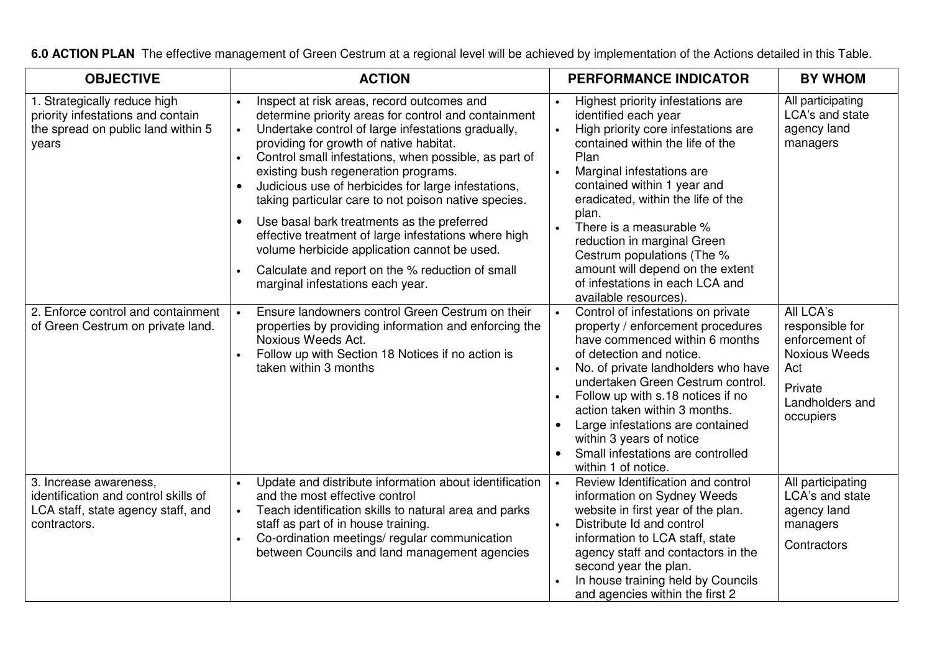| <b>OBJECTIVE</b>                                                                                                     | <b>ACTION</b>                                                                                                                                                                                                                                                                                                                                                                                                                                                                                                                                                                                                                                                                                                                      | <b>PERFORMANCE INDICATOR</b>                                                                                                                                                                                                                                                                                                                                                                                                                    | <b>BY WHOM</b>                                                                                                           |
|----------------------------------------------------------------------------------------------------------------------|------------------------------------------------------------------------------------------------------------------------------------------------------------------------------------------------------------------------------------------------------------------------------------------------------------------------------------------------------------------------------------------------------------------------------------------------------------------------------------------------------------------------------------------------------------------------------------------------------------------------------------------------------------------------------------------------------------------------------------|-------------------------------------------------------------------------------------------------------------------------------------------------------------------------------------------------------------------------------------------------------------------------------------------------------------------------------------------------------------------------------------------------------------------------------------------------|--------------------------------------------------------------------------------------------------------------------------|
| 1. Strategically reduce high<br>priority infestations and contain<br>the spread on public land within 5<br>years     | Inspect at risk areas, record outcomes and<br>$\bullet$<br>determine priority areas for control and containment<br>Undertake control of large infestations gradually,<br>$\bullet$<br>providing for growth of native habitat.<br>Control small infestations, when possible, as part of<br>$\bullet$<br>existing bush regeneration programs.<br>Judicious use of herbicides for large infestations,<br>$\bullet$<br>taking particular care to not poison native species.<br>Use basal bark treatments as the preferred<br>$\bullet$<br>effective treatment of large infestations where high<br>volume herbicide application cannot be used.<br>Calculate and report on the % reduction of small<br>marginal infestations each year. | Highest priority infestations are<br>identified each year<br>High priority core infestations are<br>contained within the life of the<br>Plan<br>Marginal infestations are<br>contained within 1 year and<br>eradicated, within the life of the<br>plan.<br>There is a measurable %<br>reduction in marginal Green<br>Cestrum populations (The %<br>amount will depend on the extent<br>of infestations in each LCA and<br>available resources). | All participating<br>LCA's and state<br>agency land<br>managers                                                          |
| 2. Enforce control and containment<br>of Green Cestrum on private land.                                              | Ensure landowners control Green Cestrum on their<br>$\bullet$<br>properties by providing information and enforcing the<br>Noxious Weeds Act.<br>Follow up with Section 18 Notices if no action is<br>taken within 3 months                                                                                                                                                                                                                                                                                                                                                                                                                                                                                                         | Control of infestations on private<br>property / enforcement procedures<br>have commenced within 6 months<br>of detection and notice.<br>No. of private landholders who have<br>undertaken Green Cestrum control.<br>Follow up with s.18 notices if no<br>action taken within 3 months.<br>Large infestations are contained<br>$\bullet$<br>within 3 years of notice<br>Small infestations are controlled<br>$\bullet$<br>within 1 of notice.   | All LCA's<br>responsible for<br>enforcement of<br><b>Noxious Weeds</b><br>Act<br>Private<br>Landholders and<br>occupiers |
| 3. Increase awareness,<br>identification and control skills of<br>LCA staff, state agency staff, and<br>contractors. | Update and distribute information about identification<br>$\bullet$<br>and the most effective control<br>Teach identification skills to natural area and parks<br>$\bullet$<br>staff as part of in house training.<br>Co-ordination meetings/regular communication<br>$\bullet$<br>between Councils and land management agencies                                                                                                                                                                                                                                                                                                                                                                                                   | Review Identification and control<br>information on Sydney Weeds<br>website in first year of the plan.<br>Distribute Id and control<br>information to LCA staff, state<br>agency staff and contactors in the<br>second year the plan.<br>In house training held by Councils<br>and agencies within the first 2                                                                                                                                  | All participating<br>LCA's and state<br>agency land<br>managers<br>Contractors                                           |

**6.0 ACTION PLAN** The effective management of Green Cestrum at a regional level will be achieved by implementation of the Actions detailed in this Table.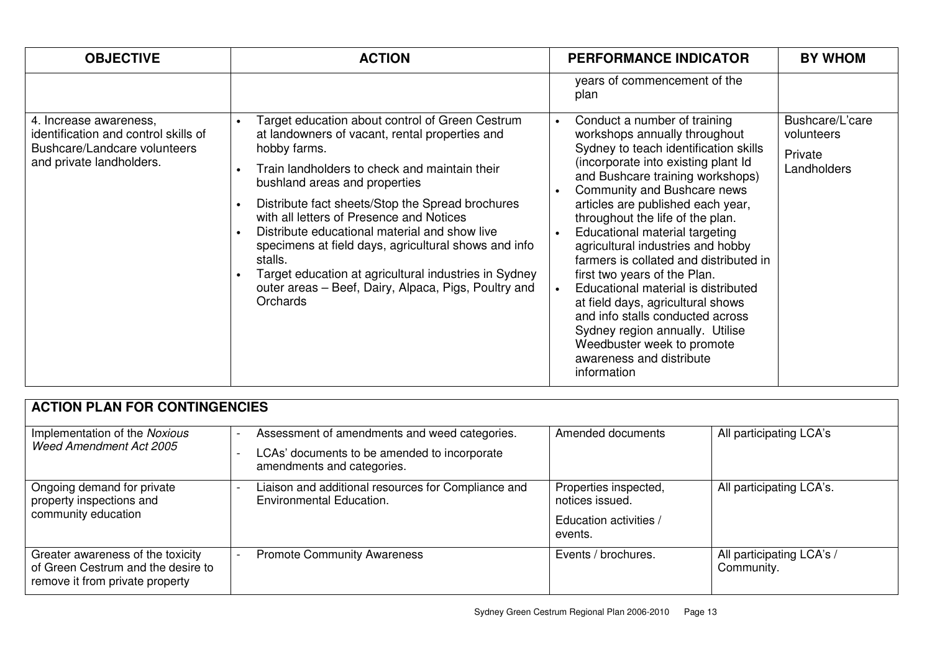| <b>OBJECTIVE</b>                                                                                                           | <b>ACTION</b>                                                                                                                                                                                                                                                                                                                                                                                                                                                                                                                                                            | <b>PERFORMANCE INDICATOR</b>                                                                                                                                                                                                                                                                                                                                                                                                                                                                                                                                                                                                                                            | <b>BY WHOM</b>                                          |
|----------------------------------------------------------------------------------------------------------------------------|--------------------------------------------------------------------------------------------------------------------------------------------------------------------------------------------------------------------------------------------------------------------------------------------------------------------------------------------------------------------------------------------------------------------------------------------------------------------------------------------------------------------------------------------------------------------------|-------------------------------------------------------------------------------------------------------------------------------------------------------------------------------------------------------------------------------------------------------------------------------------------------------------------------------------------------------------------------------------------------------------------------------------------------------------------------------------------------------------------------------------------------------------------------------------------------------------------------------------------------------------------------|---------------------------------------------------------|
|                                                                                                                            |                                                                                                                                                                                                                                                                                                                                                                                                                                                                                                                                                                          | years of commencement of the<br>plan                                                                                                                                                                                                                                                                                                                                                                                                                                                                                                                                                                                                                                    |                                                         |
| 4. Increase awareness,<br>identification and control skills of<br>Bushcare/Landcare volunteers<br>and private landholders. | Target education about control of Green Cestrum<br>$\bullet$<br>at landowners of vacant, rental properties and<br>hobby farms.<br>Train landholders to check and maintain their<br>bushland areas and properties<br>Distribute fact sheets/Stop the Spread brochures<br>with all letters of Presence and Notices<br>Distribute educational material and show live<br>specimens at field days, agricultural shows and info<br>stalls.<br>Target education at agricultural industries in Sydney<br>outer areas - Beef, Dairy, Alpaca, Pigs, Poultry and<br><b>Orchards</b> | Conduct a number of training<br>workshops annually throughout<br>Sydney to teach identification skills<br>(incorporate into existing plant Id)<br>and Bushcare training workshops)<br>Community and Bushcare news<br>articles are published each year,<br>throughout the life of the plan.<br>Educational material targeting<br>agricultural industries and hobby<br>farmers is collated and distributed in<br>first two years of the Plan.<br>Educational material is distributed<br>at field days, agricultural shows<br>and info stalls conducted across<br>Sydney region annually. Utilise<br>Weedbuster week to promote<br>awareness and distribute<br>information | Bushcare/L'care<br>volunteers<br>Private<br>Landholders |

| <b>ACTION PLAN FOR CONTINGENCIES</b>                                                                       |                                                                                                                             |                                                                               |                                         |  |
|------------------------------------------------------------------------------------------------------------|-----------------------------------------------------------------------------------------------------------------------------|-------------------------------------------------------------------------------|-----------------------------------------|--|
| Implementation of the Noxious<br>Weed Amendment Act 2005                                                   | Assessment of amendments and weed categories.<br>LCAs' documents to be amended to incorporate<br>amendments and categories. | Amended documents                                                             | All participating LCA's                 |  |
| Ongoing demand for private<br>property inspections and<br>community education                              | Liaison and additional resources for Compliance and<br><b>Environmental Education.</b>                                      | Properties inspected,<br>notices issued.<br>Education activities /<br>events. | All participating LCA's.                |  |
| Greater awareness of the toxicity<br>of Green Cestrum and the desire to<br>remove it from private property | <b>Promote Community Awareness</b>                                                                                          | Events / brochures.                                                           | All participating LCA's /<br>Community. |  |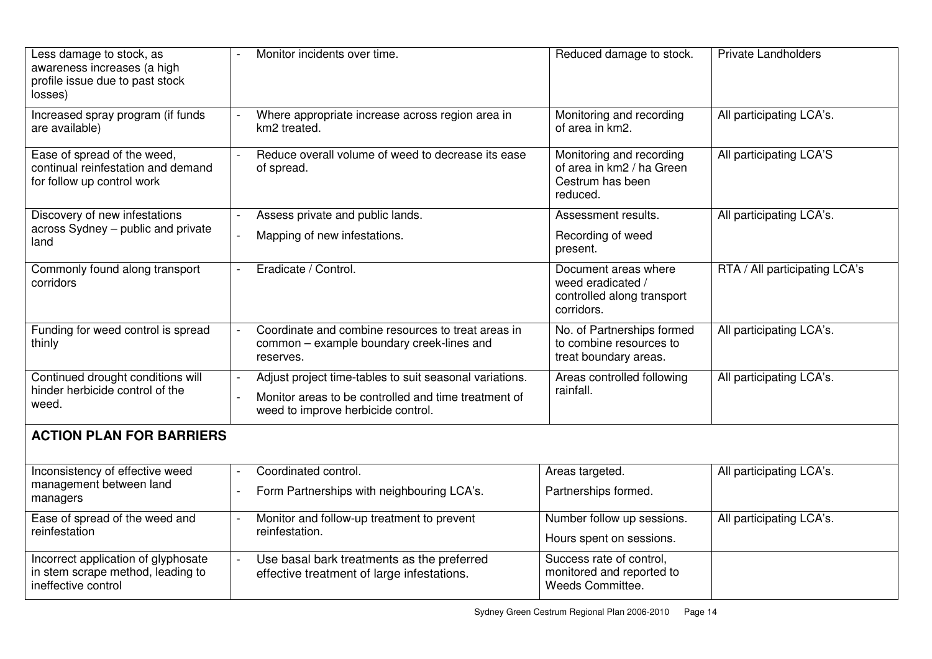| Less damage to stock, as<br>awareness increases (a high<br>profile issue due to past stock<br>losses) | Monitor incidents over time.                                                                                                                          | Reduced damage to stock.                                                              | <b>Private Landholders</b>    |  |
|-------------------------------------------------------------------------------------------------------|-------------------------------------------------------------------------------------------------------------------------------------------------------|---------------------------------------------------------------------------------------|-------------------------------|--|
| Increased spray program (if funds<br>are available)                                                   | Where appropriate increase across region area in<br>km2 treated.                                                                                      | Monitoring and recording<br>of area in km2.                                           | All participating LCA's.      |  |
| Ease of spread of the weed,<br>continual reinfestation and demand<br>for follow up control work       | Reduce overall volume of weed to decrease its ease<br>of spread.                                                                                      | Monitoring and recording<br>of area in km2 / ha Green<br>Cestrum has been<br>reduced. | All participating LCA'S       |  |
| Discovery of new infestations<br>across Sydney - public and private<br>land                           | Assess private and public lands.<br>Mapping of new infestations.                                                                                      | Assessment results.<br>Recording of weed<br>present.                                  | All participating LCA's.      |  |
| Commonly found along transport<br>corridors                                                           | Eradicate / Control.                                                                                                                                  | Document areas where<br>weed eradicated /<br>controlled along transport<br>corridors. | RTA / All participating LCA's |  |
| Funding for weed control is spread<br>thinly                                                          | Coordinate and combine resources to treat areas in<br>common - example boundary creek-lines and<br>reserves.                                          | No. of Partnerships formed<br>to combine resources to<br>treat boundary areas.        | All participating LCA's.      |  |
| Continued drought conditions will<br>hinder herbicide control of the<br>weed.                         | Adjust project time-tables to suit seasonal variations.<br>Monitor areas to be controlled and time treatment of<br>weed to improve herbicide control. | Areas controlled following<br>rainfall.                                               | All participating LCA's.      |  |
| <b>ACTION PLAN FOR BARRIERS</b>                                                                       |                                                                                                                                                       |                                                                                       |                               |  |
| Inconsistency of effective weed<br>management between land<br>managers                                | Coordinated control.<br>Form Partnerships with neighbouring LCA's.                                                                                    | Areas targeted.<br>Partnerships formed.                                               | All participating LCA's.      |  |
| Ease of spread of the weed and<br>reinfestation                                                       | Monitor and follow-up treatment to prevent<br>reinfestation.                                                                                          | Number follow up sessions.<br>Hours spent on sessions.                                | All participating LCA's.      |  |
| Incorrect application of glyphosate<br>in stem scrape method, leading to<br>ineffective control       | Use basal bark treatments as the preferred<br>effective treatment of large infestations.                                                              | Success rate of control,<br>monitored and reported to<br>Weeds Committee.             |                               |  |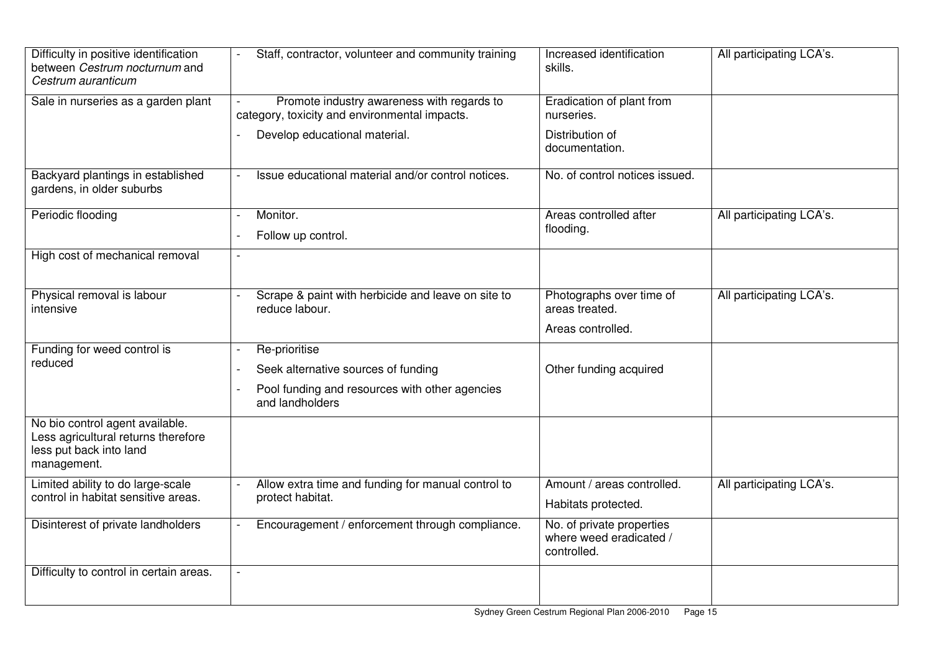| Difficulty in positive identification<br>between Cestrum nocturnum and<br>Cestrum auranticum                     | Staff, contractor, volunteer and community training                                         | Increased identification<br>skills.                                 | All participating LCA's. |
|------------------------------------------------------------------------------------------------------------------|---------------------------------------------------------------------------------------------|---------------------------------------------------------------------|--------------------------|
| Sale in nurseries as a garden plant                                                                              | Promote industry awareness with regards to<br>category, toxicity and environmental impacts. | Eradication of plant from<br>nurseries.                             |                          |
|                                                                                                                  | Develop educational material.                                                               | Distribution of<br>documentation.                                   |                          |
| Backyard plantings in established<br>gardens, in older suburbs                                                   | Issue educational material and/or control notices.                                          | No. of control notices issued.                                      |                          |
| Periodic flooding                                                                                                | Monitor.<br>Follow up control.                                                              | Areas controlled after<br>flooding.                                 | All participating LCA's. |
| High cost of mechanical removal                                                                                  |                                                                                             |                                                                     |                          |
| Physical removal is labour<br>intensive                                                                          | Scrape & paint with herbicide and leave on site to<br>reduce labour.                        | Photographs over time of<br>areas treated.                          | All participating LCA's. |
|                                                                                                                  |                                                                                             | Areas controlled.                                                   |                          |
| Funding for weed control is<br>reduced                                                                           | Re-prioritise                                                                               |                                                                     |                          |
|                                                                                                                  | Seek alternative sources of funding                                                         | Other funding acquired                                              |                          |
|                                                                                                                  | Pool funding and resources with other agencies<br>and landholders                           |                                                                     |                          |
| No bio control agent available.<br>Less agricultural returns therefore<br>less put back into land<br>management. |                                                                                             |                                                                     |                          |
| Limited ability to do large-scale                                                                                | Allow extra time and funding for manual control to<br>protect habitat.                      | Amount / areas controlled.                                          | All participating LCA's. |
| control in habitat sensitive areas.                                                                              |                                                                                             | Habitats protected.                                                 |                          |
| Disinterest of private landholders                                                                               | Encouragement / enforcement through compliance.                                             | No. of private properties<br>where weed eradicated /<br>controlled. |                          |
| Difficulty to control in certain areas.                                                                          |                                                                                             |                                                                     |                          |
|                                                                                                                  |                                                                                             |                                                                     |                          |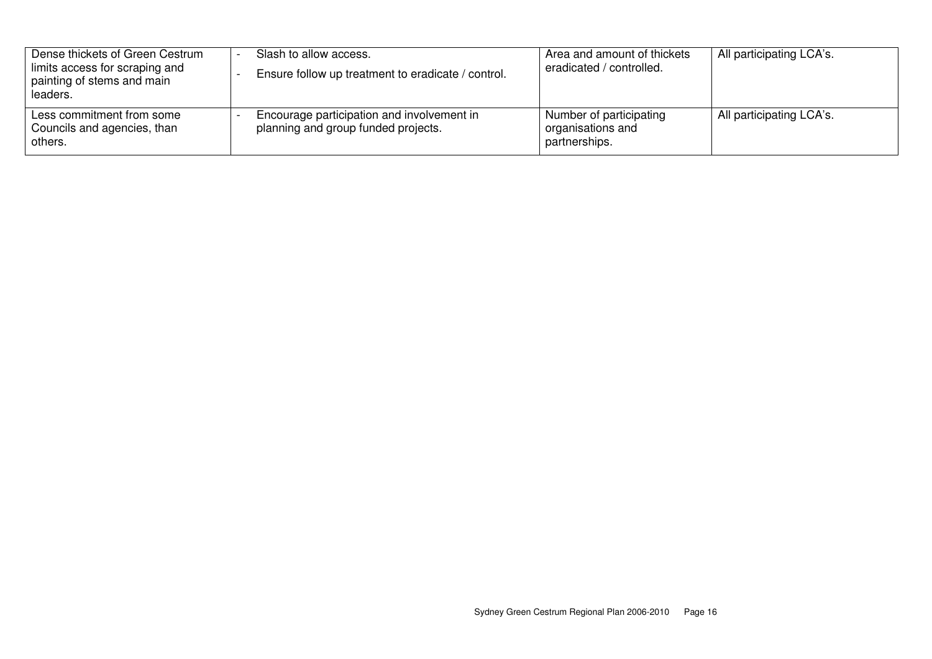| Dense thickets of Green Cestrum<br>limits access for scraping and<br>painting of stems and main<br>leaders. | Slash to allow access.<br>Ensure follow up treatment to eradicate / control.      | Area and amount of thickets<br>eradicated / controlled.       | All participating LCA's. |
|-------------------------------------------------------------------------------------------------------------|-----------------------------------------------------------------------------------|---------------------------------------------------------------|--------------------------|
| Less commitment from some<br>Councils and agencies, than<br>others.                                         | Encourage participation and involvement in<br>planning and group funded projects. | Number of participating<br>organisations and<br>partnerships. | All participating LCA's. |